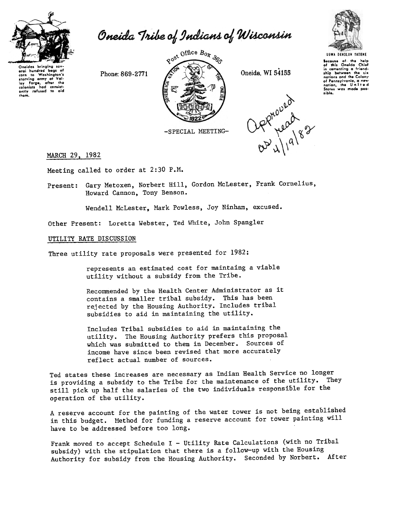

Oneida Tribe of Indians of Wisconsin

Oneidas bringing eral hundred bags o<br>corn to Washington' starving army at Val-<br>loy Forge, after the<br>colonists had consistently refused to aid thgm.



Oppnound<br>asyllages



Bocause of the help<br>of this Oneida Chief<br>in comonting a friend.<br>ship botween the six<br>nations and the Colony of Pennsylvania, a new<br>nation, the United<br>States was made pos-<br>sible.

-SPECIAL MEETING-

MARCH 29, 1982

Meeting called to order at 2:30 P.M.

Present: Gary Metoxen, Norbert Hill, Gordon McLester, Frank Cornelius Howard Cannon, Tony Benson.

Wendell McLester, Mark Powless, Joy Ninham, excused.

Other Present: Loretta Webster, Ted White, John Spangler

## UTILITY RATE DISCUSSION

Three utility rate proposals were presented for 1982:

represents an estimated cost for maintaing a viable utility without a subsidy from the Tribe.

Recommended by the Health Center Administrator as it contains a smaller tribal subsidy. This has been rejected by the Housing Authority. Includes tribal subsidies to aid in maintaining the utility.

Includes Tribal subsidies to aid in maintaining the utility. The Housing Authority prefers this proposal which was submitted to them in December. Sources of income have since been revised that more accurately reflect actual number of sources.

Ted states these increases are necessary as Indian Health Service no longer is providing a subsidy to the Tribe for the maintenance of the utility. They still pick up half the salaries of the two individuals responsible for the operation of the utility.

A reserve account for the painting of the water tower is not being established in this budget. Method for funding a reserve account for tower painting will have to be addressed before too long.

Frank moved to accept Schedule I - Utility Rate Calculations (with no Tribal subsidy) with the stipulation that there is a follow-up with the Housing Authority for subsidy from the Housing Authority. Seconded by Norbert. After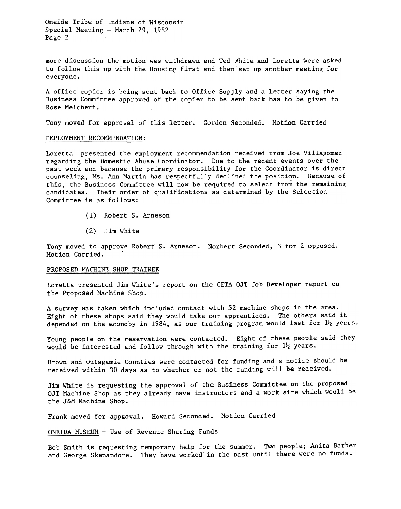Oneida Tribe of Indians of Wisconsin Special Meeting - March 29, 1982 Page 2

more discussion the motion was withdrawn and Ted White and Loretta were asked to follow this up with the Housing first and then set up another meeting for everyone.

A office copier is being sent back to Office Supply and a letter saying the Business Committee approved of the copier to be sent back has to be given to Rose Melchert.

Tony moved for approval of this letter. Gordon Seconded. Motion Carried

## EMPLOYMENT RECOMMENDATION:

Loretta presented the employment recommendation received from Joe Villagomez regarding the Domestic Abuse Coordinator. Due to the recent events over the past week and because the primary responsibility for the Coordinator is direct counseling, Ms. Ann Martin has respectfully declined the position. Because of this, the Business Committee will now be required to select from the remaining candidates. Their order of qualifications as determined by the Selection Committee is as follows:

- (1) Robert S. Arneson
- (2) Jim White

Tony moved to approve Robert S. Arneson. Norbert Seconded, 3 for 2 opposed. Motion Carried.

## PROPOSED MACHINE SHOP TRAINEE

Loretta presented Jim White's report on the CETA OJT Job Developer report on the Proposed Machine Shop.

A survey was taken which included contact with 52 machine shops in the area. Eight of these shops said they would take our apprentices. The others said it depended on the econoby in 1984, as our training program would last for  $1\frac{1}{2}$  years.

Young people on the reservation were contacted. Eight of these people said they would be interested and follow through with the training for  $l_2$  years.

Brown and Outagamie Counties were contacted for funding and a notice should be received within 30 days as to whether or not the funding will be received.

Jim White is requesting the approval of the Business Committee on the proposed OJT Machine Shop as they already have instructors and a work site which would be the J&M Machine Shop.

Frank moved for approval. Howard Seconded. Motion Carried

## ONEIDA MUSEUM - Use of Revenue Sharing Funds

Bob Smith is requesting temporary help for the summer. Two people; Anita Barber and George Skenandore. They have worked in the past until there were no funds.